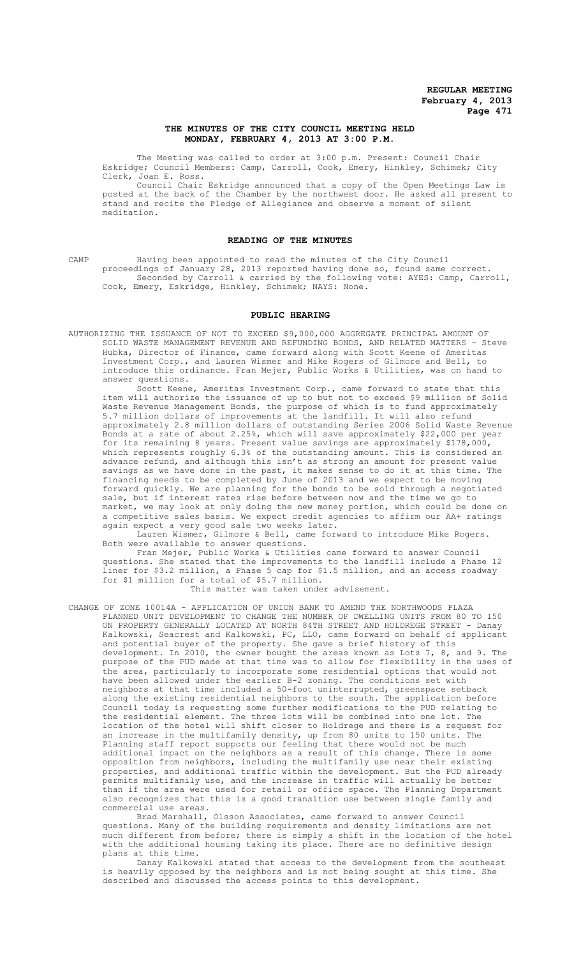# **THE MINUTES OF THE CITY COUNCIL MEETING HELD MONDAY, FEBRUARY 4, 2013 AT 3:00 P.M.**

The Meeting was called to order at 3:00 p.m. Present: Council Chair Eskridge; Council Members: Camp, Carroll, Cook, Emery, Hinkley, Schimek; City Clerk, Joan E. Ross.

Council Chair Eskridge announced that a copy of the Open Meetings Law is posted at the back of the Chamber by the northwest door. He asked all present to stand and recite the Pledge of Allegiance and observe a moment of silent meditation.

## **READING OF THE MINUTES**

CAMP Having been appointed to read the minutes of the City Council proceedings of January 28, 2013 reported having done so, found same correct. Seconded by Carroll & carried by the following vote: AYES: Camp, Carroll, Cook, Emery, Eskridge, Hinkley, Schimek; NAYS: None.

## **PUBLIC HEARING**

AUTHORIZING THE ISSUANCE OF NOT TO EXCEED \$9,000,000 AGGREGATE PRINCIPAL AMOUNT OF SOLID WASTE MANAGEMENT REVENUE AND REFUNDING BONDS, AND RELATED MATTERS - Steve Hubka, Director of Finance, came forward along with Scott Keene of Ameritas Investment Corp., and Lauren Wismer and Mike Rogers of Gilmore and Bell, to introduce this ordinance. Fran Mejer, Public Works & Utilities, was on hand to answer questions.

Scott Keene, Ameritas Investment Corp., came forward to state that this item will authorize the issuance of up to but not to exceed \$9 million of Solid Waste Revenue Management Bonds, the purpose of which is to fund approximately 5.7 million dollars of improvements at the landfill. It will also refund approximately 2.8 million dollars of outstanding Series 2006 Solid Waste Revenue Bonds at a rate of about 2.25%, which will save approximately \$22,000 per year for its remaining 8 years. Present value savings are approximately \$178,000, which represents roughly 6.3% of the outstanding amount. This is considered an advance refund, and although this isn't as strong an amount for present value savings as we have done in the past, it makes sense to do it at this time. The financing needs to be completed by June of 2013 and we expect to be moving forward quickly. We are planning for the bonds to be sold through a negotiated sale, but if interest rates rise before between now and the time we go to market, we may look at only doing the new money portion, which could be done on a competitive sales basis. We expect credit agencies to affirm our AA+ ratings again expect a very good sale two weeks later.

Lauren Wismer, Gilmore & Bell, came forward to introduce Mike Rogers. Both were available to answer questions.

Fran Mejer, Public Works & Utilities came forward to answer Council questions. She stated that the improvements to the landfill include a Phase 12 liner for \$3.2 million, a Phase 5 cap for \$1.5 million, and an access roadway for \$1 million for a total of \$5.7 million. This matter was taken under advisement.

CHANGE OF ZONE 10014A - APPLICATION OF UNION BANK TO AMEND THE NORTHWOODS PLAZA PLANNED UNIT DEVELOPMENT TO CHANGE THE NUMBER OF DWELLING UNITS FROM 80 TO 150 ON PROPERTY GENERALLY LOCATED AT NORTH 84TH STREET AND HOLDREGE STREET - Danay Kalkowski, Seacrest and Kalkowski, PC, LLO, came forward on behalf of applicant and potential buyer of the property. She gave a brief history of this development. In 2010, the owner bought the areas known as Lots 7, 8, and 9. The purpose of the PUD made at that time was to allow for flexibility in the uses of the area, particularly to incorporate some residential options that would not have been allowed under the earlier B-2 zoning. The conditions set with neighbors at that time included a 50-foot uninterrupted, greenspace setback along the existing residential neighbors to the south. The application before Council today is requesting some further modifications to the PUD relating to the residential element. The three lots will be combined into one lot. The location of the hotel will shift closer to Holdrege and there is a request for an increase in the multifamily density, up from 80 units to 150 units. The Planning staff report supports our feeling that there would not be much additional impact on the neighbors as a result of this change. There is some opposition from neighbors, including the multifamily use near their existing properties, and additional traffic within the development. But the PUD already permits multifamily use, and the increase in traffic will actually be better than if the area were used for retail or office space. The Planning Department also recognizes that this is a good transition use between single family and commercial use areas.

Brad Marshall, Olsson Associates, came forward to answer Council questions. Many of the building requirements and density limitations are not much different from before; there is simply a shift in the location of the hotel with the additional housing taking its place. There are no definitive design plans at this time.

Danay Kalkowski stated that access to the development from the southeast is heavily opposed by the neighbors and is not being sought at this time. She described and discussed the access points to this development.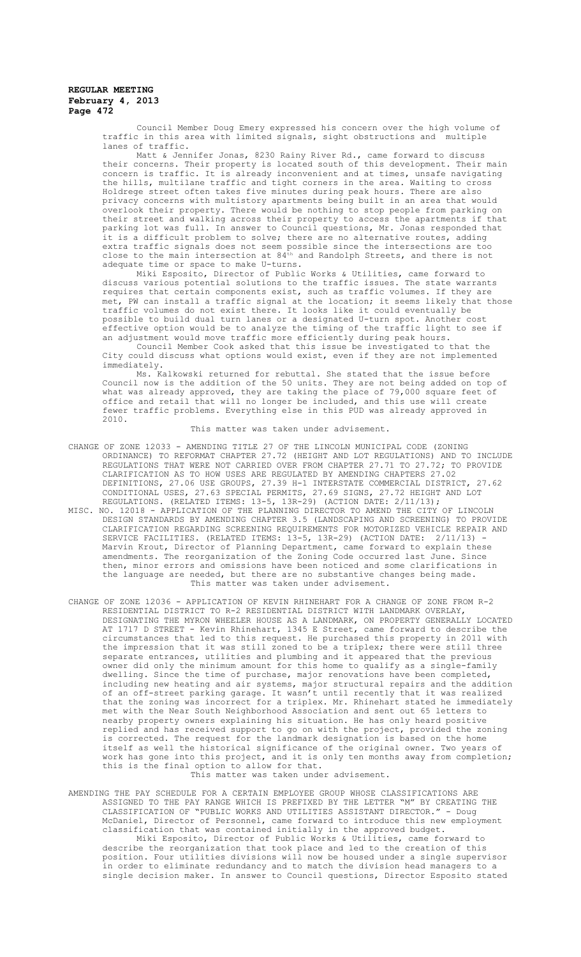Council Member Doug Emery expressed his concern over the high volume of traffic in this area with limited signals, sight obstructions and multiple lanes of traffic.

Matt & Jennifer Jonas, 8230 Rainy River Rd., came forward to discuss their concerns. Their property is located south of this development. Their main concern is traffic. It is already inconvenient and at times, unsafe navigating the hills, multilane traffic and tight corners in the area. Waiting to cross Holdrege street often takes five minutes during peak hours. There are also privacy concerns with multistory apartments being built in an area that would overlook their property. There would be nothing to stop people from parking on their street and walking across their property to access the apartments if that parking lot was full. In answer to Council questions, Mr. Jonas responded that it is a difficult problem to solve; there are no alternative routes, adding extra traffic signals does not seem possible since the intersections are too close to the main intersection at 84<sup>th</sup> and Randolph Streets, and there is not adequate time or space to make U-turns.

Miki Esposito, Director of Public Works & Utilities, came forward to discuss various potential solutions to the traffic issues. The state warrants requires that certain components exist, such as traffic volumes. If they are met, PW can install a traffic signal at the location; it seems likely that those traffic volumes do not exist there. It looks like it could eventually be possible to build dual turn lanes or a designated U-turn spot. Another cost .<br>effective option would be to analyze the timing of the traffic light to see if an adjustment would move traffic more efficiently during peak hours.

Council Member Cook asked that this issue be investigated to that the City could discuss what options would exist, even if they are not implemented immediately.

Ms. Kalkowski returned for rebuttal. She stated that the issue before Council now is the addition of the 50 units. They are not being added on top of what was already approved, they are taking the place of 79,000 square feet of office and retail that will no longer be included, and this use will create fewer traffic problems. Everything else in this PUD was already approved in 2010.

#### This matter was taken under advisement.

- CHANGE OF ZONE 12033 AMENDING TITLE 27 OF THE LINCOLN MUNICIPAL CODE (ZONING ORDINANCE) TO REFORMAT CHAPTER 27.72 (HEIGHT AND LOT REGULATIONS) AND TO INCLUDE REGULATIONS THAT WERE NOT CARRIED OVER FROM CHAPTER 27.71 TO 27.72; TO PROVIDE CLARIFICATION AS TO HOW USES ARE REGULATED BY AMENDING CHAPTERS 27.02 DEFINITIONS, 27.06 USE GROUPS, 27.39 H-1 INTERSTATE COMMERCIAL DISTRICT, 27.62 CONDITIONAL USES, 27.63 SPECIAL PERMITS, 27.69 SIGNS, 27.72 HEIGHT AND LOT REGULATIONS. (RELATED ITEMS: 13-5, 13R-29) (ACTION DATE: 2/11/13);
- MISC. NO. 12018 APPLICATION OF THE PLANNING DIRECTOR TO AMEND THE CITY OF LINCOLN DESIGN STANDARDS BY AMENDING CHAPTER 3.5 (LANDSCAPING AND SCREENING) TO PROVIDE CLARIFICATION REGARDING SCREENING REQUIREMENTS FOR MOTORIZED VEHICLE REPAIR AND SERVICE FACILITIES. (RELATED ITEMS: 13-5, 13R-29) (ACTION DATE: 2/11/13) - Marvin Krout, Director of Planning Department, came forward to explain these amendments. The reorganization of the Zoning Code occurred last June. Since then, minor errors and omissions have been noticed and some clarifications in the language are needed, but there are no substantive changes being made. This matter was taken under advisement.
- CHANGE OF ZONE 12036 APPLICATION OF KEVIN RHINEHART FOR A CHANGE OF ZONE FROM R-2 RESIDENTIAL DISTRICT TO R-2 RESIDENTIAL DISTRICT WITH LANDMARK OVERLAY, DESIGNATING THE MYRON WHEELER HOUSE AS A LANDMARK, ON PROPERTY GENERALLY LOCATED AT 1717 D STREET - Kevin Rhinehart, 1345 E Street, came forward to describe the circumstances that led to this request. He purchased this property in 2011 with the impression that it was still zoned to be a triplex; there were still three separate entrances, utilities and plumbing and it appeared that the previous owner did only the minimum amount for this home to qualify as a single-family dwelling. Since the time of purchase, major renovations have been completed, including new heating and air systems, major structural repairs and the addition of an off-street parking garage. It wasn't until recently that it was realized that the zoning was incorrect for a triplex. Mr. Rhinehart stated he immediately met with the Near South Neighborhood Association and sent out 65 letters to nearby property owners explaining his situation. He has only heard positive replied and has received support to go on with the project, provided the zoning is corrected. The request for the landmark designation is based on the home itself as well the historical significance of the original owner. Two years of work has gone into this project, and it is only ten months away from completion; this is the final option to allow for that. This matter was taken under advisement.
- AMENDING THE PAY SCHEDULE FOR A CERTAIN EMPLOYEE GROUP WHOSE CLASSIFICATIONS ARE ASSIGNED TO THE PAY RANGE WHICH IS PREFIXED BY THE LETTER "M" BY CREATING THE CLASSIFICATION OF "PUBLIC WORKS AND UTILITIES ASSISTANT DIRECTOR." - Doug McDaniel, Director of Personnel, came forward to introduce this new employment classification that was contained initially in the approved budget.

Miki Esposito, Director of Public Works & Utilities, came forward to describe the reorganization that took place and led to the creation of this position. Four utilities divisions will now be housed under a single supervisor in order to eliminate redundancy and to match the division head managers to a single decision maker. In answer to Council questions, Director Esposito stated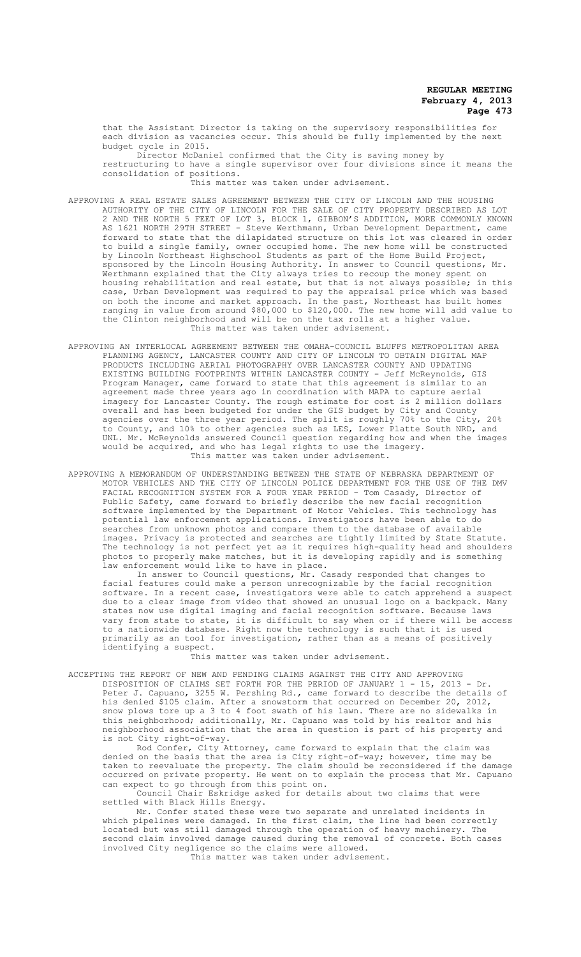that the Assistant Director is taking on the supervisory responsibilities for each division as vacancies occur. This should be fully implemented by the next budget cycle in 2015.

Director McDaniel confirmed that the City is saving money by restructuring to have a single supervisor over four divisions since it means the consolidation of positions.

.<br>This matter was taken under advisement.

- APPROVING A REAL ESTATE SALES AGREEMENT BETWEEN THE CITY OF LINCOLN AND THE HOUSING AUTHORITY OF THE CITY OF LINCOLN FOR THE SALE OF CITY PROPERTY DESCRIBED AS LOT 2 AND THE NORTH 5 FEET OF LOT 3, BLOCK 1, GIBBON'S ADDITION, MORE COMMONLY KNOWN AS 1621 NORTH 29TH STREET - Steve Werthmann, Urban Development Department, came forward to state that the dilapidated structure on this lot was cleared in order to build a single family, owner occupied home. The new home will be constructed by Lincoln Northeast Highschool Students as part of the Home Build Project, sponsored by the Lincoln Housing Authority. In answer to Council questions, Mr. Werthmann explained that the City always tries to recoup the money spent on housing rehabilitation and real estate, but that is not always possible; in this case, Urban Development was required to pay the appraisal price which was based on both the income and market approach. In the past, Northeast has built homes ranging in value from around \$80,000 to \$120,000. The new home will add value to the Clinton neighborhood and will be on the tax rolls at a higher value. This matter was taken under advisement.
- APPROVING AN INTERLOCAL AGREEMENT BETWEEN THE OMAHA-COUNCIL BLUFFS METROPOLITAN AREA PLANNING AGENCY, LANCASTER COUNTY AND CITY OF LINCOLN TO OBTAIN DIGITAL MAP PRODUCTS INCLUDING AERIAL PHOTOGRAPHY OVER LANCASTER COUNTY AND UPDATING EXISTING BUILDING FOOTPRINTS WITHIN LANCASTER COUNTY - Jeff McReynolds, GIS Program Manager, came forward to state that this agreement is similar to an agreement made three years ago in coordination with MAPA to capture aerial<br>imagery for Lancaster County. The rough estimate for cost is 2 million dol County. The rough estimate for cost is  $2$  million dollars overall and has been budgeted for under the GIS budget by City and County agencies over the three year period. The split is roughly 70% to the City, 20% to County, and 10% to other agencies such as LES, Lower Platte South NRD, and UNL. Mr. McReynolds answered Council question regarding how and when the images would be acquired, and who has legal rights to use the imagery. This matter was taken under advisement.
- APPROVING A MEMORANDUM OF UNDERSTANDING BETWEEN THE STATE OF NEBRASKA DEPARTMENT OF MOTOR VEHICLES AND THE CITY OF LINCOLN POLICE DEPARTMENT FOR THE USE OF THE DMV FACIAL RECOGNITION SYSTEM FOR A FOUR YEAR PERIOD - Tom Casady, Director of Public Safety, came forward to briefly describe the new facial recognition software implemented by the Department of Motor Vehicles. This technology has potential law enforcement applications. Investigators have been able to do .<br>searches from unknown photos and compare them to the database of available images. Privacy is protected and searches are tightly limited by State Statute. The technology is not perfect yet as it requires high-quality head and shoulders photos to properly make matches, but it is developing rapidly and is something law enforcement would like to have in place.

In answer to Council questions, Mr. Casady responded that changes to facial features could make a person unrecognizable by the facial recognition software. In a recent case, investigators were able to catch apprehend a suspect due to a clear image from video that showed an unusual logo on a backpack. Many states now use digital imaging and facial recognition software. Because laws vary from state to state, it is difficult to say when or if there will be access to a nationwide database. Right now the technology is such that it is used primarily as an tool for investigation, rather than as a means of positively .<br>identifying a suspect.

This matter was taken under advisement.

ACCEPTING THE REPORT OF NEW AND PENDING CLAIMS AGAINST THE CITY AND APPROVING DISPOSITION OF CLAIMS SET FORTH FOR THE PERIOD OF JANUARY 1 - 15, 2013 - Dr. Peter J. Capuano, 3255 W. Pershing Rd., came forward to describe the details of his denied \$105 claim. After a snowstorm that occurred on December 20, 2012, snow plows tore up a 3 to 4 foot swath of his lawn. There are no sidewalks in<br>this neighborhood: additionally. Mr. Capuano was told by his realtor and his .<br>neighborhood; additionally, Mr. Capuano was told by his realtor and his neighborhood association that the area in question is part of his property and is not City right-of-way.

Rod Confer, City Attorney, came forward to explain that the claim was denied on the basis that the area is City right-of-way; however, time may be taken to reevaluate the property. The claim should be reconsidered if the damage occurred on private property. He went on to explain the process that Mr. Capuano can expect to go through from this point on.

Council Chair Eskridge asked for details about two claims that were settled with Black Hills Energy.

Mr. Confer stated these were two separate and unrelated incidents in which pipelines were damaged. In the first claim, the line had been correctly located but was still damaged through the operation of heavy machinery. The second claim involved damage caused during the removal of concrete. Both cases involved City negligence so the claims were allowed.

This matter was taken under advisement.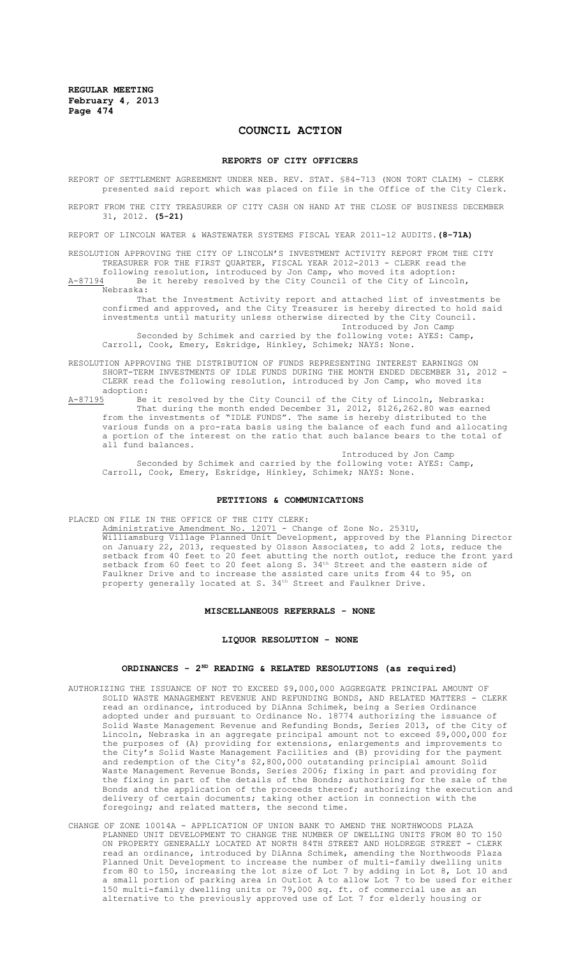# **COUNCIL ACTION**

#### **REPORTS OF CITY OFFICERS**

REPORT OF SETTLEMENT AGREEMENT UNDER NEB. REV. STAT. §84-713 (NON TORT CLAIM) - CLERK presented said report which was placed on file in the Office of the City Clerk.

REPORT FROM THE CITY TREASURER OF CITY CASH ON HAND AT THE CLOSE OF BUSINESS DECEMBER 31, 2012. **(5-21)**

REPORT OF LINCOLN WATER & WASTEWATER SYSTEMS FISCAL YEAR 2011-12 AUDITS.**(8-71A)**

RESOLUTION APPROVING THE CITY OF LINCOLN'S INVESTMENT ACTIVITY REPORT FROM THE CITY TREASURER FOR THE FIRST QUARTER, FISCAL YEAR 2012-2013 - CLERK read the following resolution, introduced by Jon Camp, who moved its adoption:

A-87194 Be it hereby resolved by the City Council of the City of Lincoln, Nebraska:

That the Investment Activity report and attached list of investments be confirmed and approved, and the City Treasurer is hereby directed to hold said investments until maturity unless otherwise directed by the City Council. Introduced by Jon Camp Seconded by Schimek and carried by the following vote: AYES: Camp, Carroll, Cook, Emery, Eskridge, Hinkley, Schimek; NAYS: None.

RESOLUTION APPROVING THE DISTRIBUTION OF FUNDS REPRESENTING INTEREST EARNINGS ON SHORT-TERM INVESTMENTS OF IDLE FUNDS DURING THE MONTH ENDED DECEMBER 31, 2012 - CLERK read the following resolution, introduced by Jon Camp, who moved its adoption:<br> $A-87195$  Be

A-87195 Be it resolved by the City Council of the City of Lincoln, Nebraska: That during the month ended December 31, 2012, \$126,262.80 was earned from the investments of "IDLE FUNDS". The same is hereby distributed to the various funds on a pro-rata basis using the balance of each fund and allocating a portion of the interest on the ratio that such balance bears to the total of all fund balances.

Introduced by Jon Camp Seconded by Schimek and carried by the following vote: AYES: Camp, Carroll, Cook, Emery, Eskridge, Hinkley, Schimek; NAYS: None.

#### **PETITIONS & COMMUNICATIONS**

PLACED ON FILE IN THE OFFICE OF THE CITY CLERK:

Administrative Amendment No. 12071 - Change of Zone No. 2531U, Williamsburg Village Planned Unit Development, approved by the Planning Director on January 22, 2013, requested by Olsson Associates, to add 2 lots, reduce the setback from 40 feet to 20 feet abutting the north outlot, reduce the front yard setback from 60 feet to 20 feet along S.  $34<sup>th</sup>$  Street and the eastern side of Faulkner Drive and to increase the assisted care units from 44 to 95, on property generally located at S.  $34^{\text{th}}$  Street and Faulkner Drive.

#### **MISCELLANEOUS REFERRALS - NONE**

#### **LIQUOR RESOLUTION - NONE**

# **ORDINANCES - 2ND READING & RELATED RESOLUTIONS (as required)**

- AUTHORIZING THE ISSUANCE OF NOT TO EXCEED \$9,000,000 AGGREGATE PRINCIPAL AMOUNT OF SOLID WASTE MANAGEMENT REVENUE AND REFUNDING BONDS, AND RELATED MATTERS - CLERK read an ordinance, introduced by DiAnna Schimek, being a Series Ordinance adopted under and pursuant to Ordinance No. 18774 authorizing the issuance of Solid Waste Management Revenue and Refunding Bonds, Series 2013, of the City of Lincoln, Nebraska in an aggregate principal amount not to exceed \$9,000,000 for the purposes of (A) providing for extensions, enlargements and improvements to the City's Solid Waste Management Facilities and (B) providing for the payment and redemption of the City's \$2,800,000 outstanding principial amount Solid Waste Management Revenue Bonds, Series 2006; fixing in part and providing for the fixing in part of the details of the Bonds; authorizing for the sale of the Bonds and the application of the proceeds thereof; authorizing the execution and delivery of certain documents; taking other action in connection with the foregoing; and related matters, the second time.
- CHANGE OF ZONE 10014A APPLICATION OF UNION BANK TO AMEND THE NORTHWOODS PLAZA PLANNED UNIT DEVELOPMENT TO CHANGE THE NUMBER OF DWELLING UNITS FROM 80 TO 150 ON PROPERTY GENERALLY LOCATED AT NORTH 84TH STREET AND HOLDREGE STREET - CLERK read an ordinance, introduced by DiAnna Schimek, amending the Northwoods Plaza Planned Unit Development to increase the number of multi-family dwelling units from 80 to 150, increasing the lot size of Lot 7 by adding in Lot 8, Lot 10 and a small portion of parking area in Outlot A to allow Lot 7 to be used for either 150 multi-family dwelling units or 79,000 sq. ft. of commercial use as an alternative to the previously approved use of Lot 7 for elderly housing or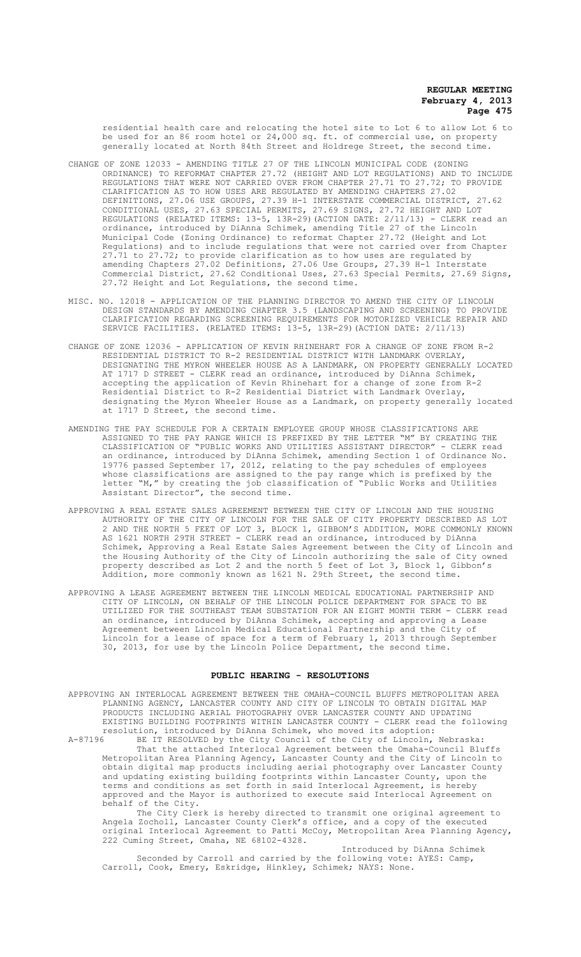residential health care and relocating the hotel site to Lot 6 to allow Lot 6 to be used for an 86 room hotel or 24,000 sq. ft. of commercial use, on property generally located at North 84th Street and Holdrege Street, the second time.

- CHANGE OF ZONE 12033 AMENDING TITLE 27 OF THE LINCOLN MUNICIPAL CODE (ZONING ORDINANCE) TO REFORMAT CHAPTER 27.72 (HEIGHT AND LOT REGULATIONS) AND TO INCLUDE REGULATIONS THAT WERE NOT CARRIED OVER FROM CHAPTER 27.71 TO 27.72; TO PROVIDE CLARIFICATION AS TO HOW USES ARE REGULATED BY AMENDING CHAPTERS 27.02 DEFINITIONS, 27.06 USE GROUPS, 27.39 H-1 INTERSTATE COMMERCIAL DISTRICT, CONDITIONAL USES, 27.63 SPECIAL PERMITS, 27.69 SIGNS, 27.72 HEIGHT AND LOT REGULATIONS (RELATED ITEMS: 13-5, 13R-29)(ACTION DATE: 2/11/13) - CLERK read an ordinance, introduced by DiAnna Schimek, amending Title 27 of the Lincoln Municipal Code (Zoning Ordinance) to reformat Chapter 27.72 (Height and Lot Regulations) and to include regulations that were not carried over from Chapter 27.71 to 27.72; to provide clarification as to how uses are regulated by amending Chapters 27.02 Definitions, 27.06 Use Groups, 27.39 H-1 Interstate Commercial District, 27.62 Conditional Uses, 27.63 Special Permits, 27.69 Signs, 27.72 Height and Lot Regulations, the second time.
- MISC. NO. 12018 APPLICATION OF THE PLANNING DIRECTOR TO AMEND THE CITY OF LINCOLN DESIGN STANDARDS BY AMENDING CHAPTER 3.5 (LANDSCAPING AND SCREENING) TO PROVIDE CLARIFICATION REGARDING SCREENING REQUIREMENTS FOR MOTORIZED VEHICLE REPAIR AND SERVICE FACILITIES. (RELATED ITEMS: 13-5, 13R-29)(ACTION DATE: 2/11/13)
- CHANGE OF ZONE 12036 APPLICATION OF KEVIN RHINEHART FOR A CHANGE OF ZONE FROM R-2 RESIDENTIAL DISTRICT TO R-2 RESIDENTIAL DISTRICT WITH LANDMARK OVERLAY, DESIGNATING THE MYRON WHEELER HOUSE AS A LANDMARK, ON PROPERTY GENERALLY LOCATED AT 1717 D STREET - CLERK read an ordinance, introduced by DiAnna Schimek, accepting the application of Kevin Rhinehart for a change of zone from R-2 Residential District to R-2 Residential District with Landmark Overlay, designating the Myron Wheeler House as a Landmark, on property generally located at 1717 D Street, the second time.
- AMENDING THE PAY SCHEDULE FOR A CERTAIN EMPLOYEE GROUP WHOSE CLASSIFICATIONS ARE ASSIGNED TO THE PAY RANGE WHICH IS PREFIXED BY THE LETTER "M" BY CREATING THE CLASSIFICATION OF "PUBLIC WORKS AND UTILITIES ASSISTANT DIRECTOR" - CLERK read an ordinance, introduced by DiAnna Schimek, amending Section 1 of Ordinance No. 19776 passed September 17, 2012, relating to the pay schedules of employees whose classifications are assigned to the pay range which is prefixed by the letter "M," by creating the job classification of "Public Works and Utilities Assistant Director", the second time.
- APPROVING A REAL ESTATE SALES AGREEMENT BETWEEN THE CITY OF LINCOLN AND THE HOUSING AUTHORITY OF THE CITY OF LINCOLN FOR THE SALE OF CITY PROPERTY DESCRIBED AS LOT 2 AND THE NORTH 5 FEET OF LOT 3, BLOCK 1, GIBBON'S ADDITION, MORE COMMONLY KNOWN AS 1621 NORTH 29TH STREET - CLERK read an ordinance, introduced by DiAnna Schimek, Approving a Real Estate Sales Agreement between the City of Lincoln and the Housing Authority of the City of Lincoln authorizing the sale of City owned property described as Lot 2 and the north 5 feet of Lot 3, Block 1, Gibbon's Addition, more commonly known as 1621 N. 29th Street, the second time.
- APPROVING A LEASE AGREEMENT BETWEEN THE LINCOLN MEDICAL EDUCATIONAL PARTNERSHIP AND CITY OF LINCOLN, ON BEHALF OF THE LINCOLN POLICE DEPARTMENT FOR SPACE TO BE UTILIZED FOR THE SOUTHEAST TEAM SUBSTATION FOR AN EIGHT MONTH TERM - CLERK read an ordinance, introduced by DiAnna Schimek, accepting and approving a Lease Agreement between Lincoln Medical Educational Partnership and the City of Lincoln for a lease of space for a term of February 1, 2013 through September 30, 2013, for use by the Lincoln Police Department, the second time.

# **PUBLIC HEARING - RESOLUTIONS**

APPROVING AN INTERLOCAL AGREEMENT BETWEEN THE OMAHA-COUNCIL BLUFFS METROPOLITAN AREA PLANNING AGENCY, LANCASTER COUNTY AND CITY OF LINCOLN TO OBTAIN DIGITAL MAP PRODUCTS INCLUDING AERIAL PHOTOGRAPHY OVER LANCASTER COUNTY AND UPDATING EXISTING BUILDING FOOTPRINTS WITHIN LANCASTER COUNTY - CLERK read the following resolution, introduced by DiAnna Schimek, who moved its adoption:

A-87196 BE IT RESOLVED by the City Council of the City of Lincoln, Nebraska: That the attached Interlocal Agreement between the Omaha-Council Bluffs Metropolitan Area Planning Agency, Lancaster County and the City of Lincoln to obtain digital map products including aerial photography over Lancaster County and updating existing building footprints within Lancaster County, upon the terms and conditions as set forth in said Interlocal Agreement, is hereby approved and the Mayor is authorized to execute said Interlocal Agreement on behalf of the City.

The City Clerk is hereby directed to transmit one original agreement to Angela Zocholl, Lancaster County Clerk's office, and a copy of the executed original Interlocal Agreement to Patti McCoy, Metropolitan Area Planning Agency, 222 Cuming Street, Omaha, NE 68102-4328.

Introduced by DiAnna Schimek Seconded by Carroll and carried by the following vote: AYES: Camp, Carroll, Cook, Emery, Eskridge, Hinkley, Schimek; NAYS: None.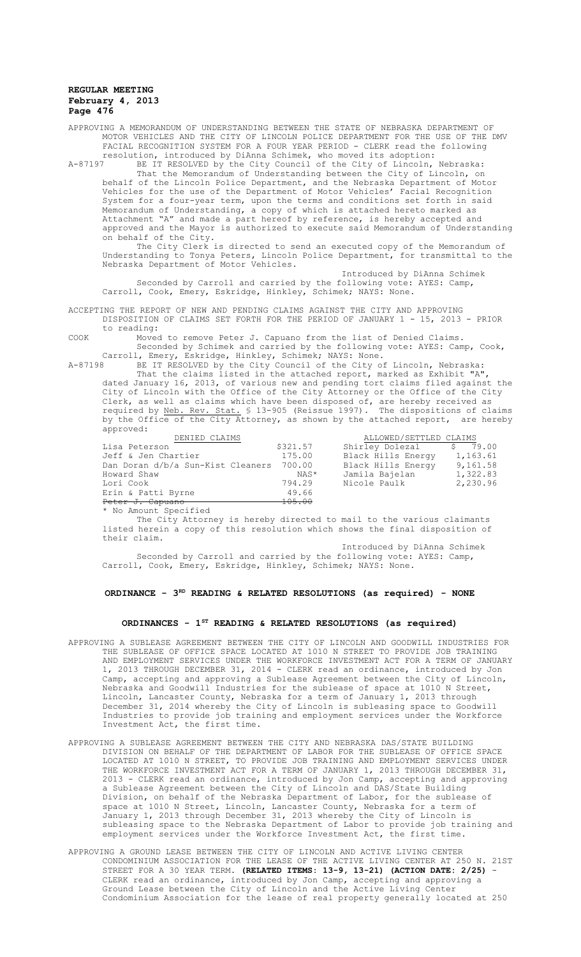APPROVING A MEMORANDUM OF UNDERSTANDING BETWEEN THE STATE OF NEBRASKA DEPARTMENT OF MOTOR VEHICLES AND THE CITY OF LINCOLN POLICE DEPARTMENT FOR THE USE OF THE DMV FACIAL RECOGNITION SYSTEM FOR A FOUR YEAR PERIOD - CLERK read the following resolution, introduced by DiAnna Schimek, who moved its adoption:

A-87197 BE IT RESOLVED by the City Council of the City of Lincoln, Nebraska: That the Memorandum of Understanding between the City of Lincoln, on behalf of the Lincoln Police Department, and the Nebraska Department of Motor Vehicles for the use of the Department of Motor Vehicles' Facial Recognition System for a four-year term, upon the terms and conditions set forth in said Memorandum of Understanding, a copy of which is attached hereto marked as Attachment "A" and made a part hereof by reference, is hereby accepted and approved and the Mayor is authorized to execute said Memorandum of Understanding on behalf of the City.

The City Clerk is directed to send an executed copy of the Memorandum of Understanding to Tonya Peters, Lincoln Police Department, for transmittal to the Nebraska Department of Motor Vehicles.

Introduced by DiAnna Schimek Seconded by Carroll and carried by the following vote: AYES: Camp, Carroll, Cook, Emery, Eskridge, Hinkley, Schimek; NAYS: None.

ACCEPTING THE REPORT OF NEW AND PENDING CLAIMS AGAINST THE CITY AND APPROVING DISPOSITION OF CLAIMS SET FORTH FOR THE PERIOD OF JANUARY 1 - 15, 2013 - PRIOR to reading:

COOK Moved to remove Peter J. Capuano from the list of Denied Claims. Seconded by Schimek and carried by the following vote: AYES: Camp, Cook,

Carroll, Emery, Eskridge, Hinkley, Schimek; NAYS: None. A-87198 BE IT RESOLVED by the City Council of the City of Lincoln, Nebraska:

That the claims listed in the attached report, marked as Exhibit "A", dated January 16, 2013, of various new and pending tort claims filed against the City of Lincoln with the Office of the City Attorney or the Office of the City Clerk, as well as claims which have been disposed of, are hereby received as required by Neb. Rev. Stat. § 13-905 (Reissue 1997). The dispositions of claims by the Office of the City Attorney, as shown by the attached report, are hereby approved:

| DENIED CLAIMS                            |                   | ALLOWED/SETTLED CLAIMS |             |
|------------------------------------------|-------------------|------------------------|-------------|
| Lisa Peterson                            | \$321.57          | Shirley Dolezal        | 79.00<br>-S |
| Jeff & Jen Chartier                      | 175.00            | Black Hills Energy     | 1,163.61    |
| Dan Doran d/b/a Sun-Kist Cleaners 700.00 |                   | Black Hills Energy     | 9,161.58    |
| Howard Shaw                              | NAS*              | Jamila Bajelan         | 1,322.83    |
| Lori Cook                                | 794.29            | Nicole Paulk           | 2,230.96    |
| Erin & Patti Byrne                       | 49.66             |                        |             |
| Peter J. Capuano                         | <del>105.00</del> |                        |             |
|                                          |                   |                        |             |

\* No Amount Specified

The City Attorney is hereby directed to mail to the various claimants listed herein a copy of this resolution which shows the final disposition of their claim.

Introduced by DiAnna Schimek Seconded by Carroll and carried by the following vote: AYES: Camp, Carroll, Cook, Emery, Eskridge, Hinkley, Schimek; NAYS: None.

**ORDINANCE - 3RD READING & RELATED RESOLUTIONS (as required) - NONE**

# **ORDINANCES - 1ST READING & RELATED RESOLUTIONS (as required)**

- APPROVING A SUBLEASE AGREEMENT BETWEEN THE CITY OF LINCOLN AND GOODWILL INDUSTRIES FOR THE SUBLEASE OF OFFICE SPACE LOCATED AT 1010 N STREET TO PROVIDE JOB TRAINING AND EMPLOYMENT SERVICES UNDER THE WORKFORCE INVESTMENT ACT FOR A TERM OF JANUARY 1, 2013 THROUGH DECEMBER 31, 2014 - CLERK read an ordinance, introduced by Jon Camp, accepting and approving a Sublease Agreement between the City of Lincoln, Nebraska and Goodwill Industries for the sublease of space at 1010 N Street, Lincoln, Lancaster County, Nebraska for a term of January 1, 2013 through December 31, 2014 whereby the City of Lincoln is subleasing space to Goodwill Industries to provide job training and employment services under the Workforce Investment Act, the first time.
- APPROVING A SUBLEASE AGREEMENT BETWEEN THE CITY AND NEBRASKA DAS/STATE BUILDING DIVISION ON BEHALF OF THE DEPARTMENT OF LABOR FOR THE SUBLEASE OF OFFICE SPACE LOCATED AT 1010 N STREET, TO PROVIDE JOB TRAINING AND EMPLOYMENT SERVICES UNDER THE WORKFORCE INVESTMENT ACT FOR A TERM OF JANUARY 1, 2013 THROUGH DECEMBER 31, 2013 - CLERK read an ordinance, introduced by Jon Camp, accepting and approving a Sublease Agreement between the City of Lincoln and DAS/State Building Division, on behalf of the Nebraska Department of Labor, for the sublease of space at 1010 N Street, Lincoln, Lancaster County, Nebraska for a term of January 1, 2013 through December 31, 2013 whereby the City of Lincoln is subleasing space to the Nebraska Department of Labor to provide job training and employment services under the Workforce Investment Act, the first time.
- APPROVING A GROUND LEASE BETWEEN THE CITY OF LINCOLN AND ACTIVE LIVING CENTER CONDOMINIUM ASSOCIATION FOR THE LEASE OF THE ACTIVE LIVING CENTER AT 250 N. 21ST STREET FOR A 30 YEAR TERM. **(RELATED ITEMS: 13-9, 13-21) (ACTION DATE: 2/25)** - CLERK read an ordinance, introduced by Jon Camp, accepting and approving a Ground Lease between the City of Lincoln and the Active Living Center Condominium Association for the lease of real property generally located at 250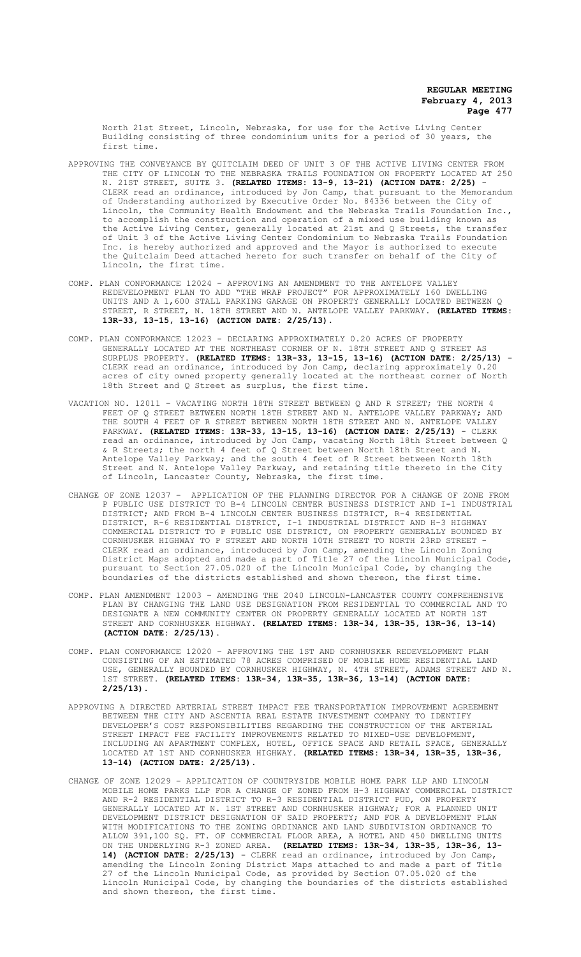North 21st Street, Lincoln, Nebraska, for use for the Active Living Center Building consisting of three condominium units for a period of 30 years, the first time.

- APPROVING THE CONVEYANCE BY QUITCLAIM DEED OF UNIT 3 OF THE ACTIVE LIVING CENTER FROM THE CITY OF LINCOLN TO THE NEBRASKA TRAILS FOUNDATION ON PROPERTY LOCATED AT 250 N. 21ST STREET, SUITE 3. **(RELATED ITEMS: 13-9, 13-21) (ACTION DATE: 2/25)** - CLERK read an ordinance, introduced by Jon Camp, that pursuant to the Memorandum of Understanding authorized by Executive Order No. 84336 between the City of Lincoln, the Community Health Endowment and the Nebraska Trails Foundation Inc., to accomplish the construction and operation of a mixed use building known as the Active Living Center, generally located at 21st and Q Streets, the transfer of Unit 3 of the Active Living Center Condominium to Nebraska Trails Foundation Inc. is hereby authorized and approved and the Mayor is authorized to execute the Quitclaim Deed attached hereto for such transfer on behalf of the City of Lincoln, the first time.
- COMP. PLAN CONFORMANCE 12024 APPROVING AN AMENDMENT TO THE ANTELOPE VALLEY REDEVELOPMENT PLAN TO ADD "THE WRAP PROJECT" FOR APPROXIMATELY 160 DWELLING UNITS AND A 1,600 STALL PARKING GARAGE ON PROPERTY GENERALLY LOCATED BETWEEN Q STREET, R STREET, N. 18TH STREET AND N. ANTELOPE VALLEY PARKWAY. **(RELATED ITEMS: 13R-33, 13-15, 13-16) (ACTION DATE: 2/25/13)**.
- COMP. PLAN CONFORMANCE 12023 DECLARING APPROXIMATELY 0.20 ACRES OF PROPERTY GENERALLY LOCATED AT THE NORTHEAST CORNER OF N. 18TH STREET AND Q STREET AS SURPLUS PROPERTY. **(RELATED ITEMS: 13R-33, 13-15, 13-16) (ACTION DATE: 2/25/13)** - CLERK read an ordinance, introduced by Jon Camp, declaring approximately 0.20 acres of city owned property generally located at the northeast corner of North 18th Street and Q Street as surplus, the first time.
- VACATION NO. 12011 VACATING NORTH 18TH STREET BETWEEN Q AND R STREET; THE NORTH 4 FEET OF Q STREET BETWEEN NORTH 18TH STREET AND N. ANTELOPE VALLEY PARKWAY; AND THE SOUTH 4 FEET OF R STREET BETWEEN NORTH 18TH STREET AND N. ANTELOPE VALLEY PARKWAY. **(RELATED ITEMS: 13R-33, 13-15, 13-16) (ACTION DATE: 2/25/13)** - CLERK read an ordinance, introduced by Jon Camp, vacating North 18th Street between Q & R Streets; the north 4 feet of Q Street between North 18th Street and N. Antelope Valley Parkway; and the south 4 feet of R Street between North 18th Street and N. Antelope Valley Parkway, and retaining title thereto in the City of Lincoln, Lancaster County, Nebraska, the first time.
- CHANGE OF ZONE 12037 APPLICATION OF THE PLANNING DIRECTOR FOR A CHANGE OF ZONE FROM P PUBLIC USE DISTRICT TO B-4 LINCOLN CENTER BUSINESS DISTRICT AND I-1 INDUSTRIAL DISTRICT; AND FROM B-4 LINCOLN CENTER BUSINESS DISTRICT, R-4 RESIDENTIAL DISTRICT, R-6 RESIDENTIAL DISTRICT, I-1 INDUSTRIAL DISTRICT AND H-3 HIGHWAY COMMERCIAL DISTRICT TO P PUBLIC USE DISTRICT, ON PROPERTY GENERALLY BOUNDED BY CORNHUSKER HIGHWAY TO P STREET AND NORTH 10TH STREET TO NORTH 23RD STREET - CLERK read an ordinance, introduced by Jon Camp, amending the Lincoln Zoning District Maps adopted and made a part of Title 27 of the Lincoln Municipal Code, pursuant to Section 27.05.020 of the Lincoln Municipal Code, by changing the boundaries of the districts established and shown thereon, the first time.
- COMP. PLAN AMENDMENT 12003 AMENDING THE 2040 LINCOLN-LANCASTER COUNTY COMPREHENSIVE PLAN BY CHANGING THE LAND USE DESIGNATION FROM RESIDENTIAL TO COMMERCIAL AND TO DESIGNATE A NEW COMMUNITY CENTER ON PROPERTY GENERALLY LOCATED AT NORTH 1ST STREET AND CORNHUSKER HIGHWAY. **(RELATED ITEMS: 13R-34, 13R-35, 13R-36, 13-14) (ACTION DATE: 2/25/13).**
- COMP. PLAN CONFORMANCE 12020 APPROVING THE 1ST AND CORNHUSKER REDEVELOPMENT PLAN CONSISTING OF AN ESTIMATED 78 ACRES COMPRISED OF MOBILE HOME RESIDENTIAL LAND USE, GENERALLY BOUNDED BY CORNHUSKER HIGHWAY, N. 4TH STREET, ADAMS STREET AND N. 1ST STREET. **(RELATED ITEMS: 13R-34, 13R-35, 13R-36, 13-14) (ACTION DATE: 2/25/13)**.
- APPROVING A DIRECTED ARTERIAL STREET IMPACT FEE TRANSPORTATION IMPROVEMENT AGREEMENT BETWEEN THE CITY AND ASCENTIA REAL ESTATE INVESTMENT COMPANY TO IDENTIFY DEVELOPER'S COST RESPONSIBILITIES REGARDING THE CONSTRUCTION OF THE ARTERIAL STREET IMPACT FEE FACILITY IMPROVEMENTS RELATED TO MIXED-USE DEVELOPMENT, INCLUDING AN APARTMENT COMPLEX, HOTEL, OFFICE SPACE AND RETAIL SPACE, GENERALLY LOCATED AT 1ST AND CORNHUSKER HIGHWAY. **(RELATED ITEMS: 13R-34, 13R-35, 13R-36, 13-14) (ACTION DATE: 2/25/13)**.
- CHANGE OF ZONE 12029 APPLICATION OF COUNTRYSIDE MOBILE HOME PARK LLP AND LINCOLN MOBILE HOME PARKS LLP FOR A CHANGE OF ZONED FROM H-3 HIGHWAY COMMERCIAL DISTRICT AND R-2 RESIDENTIAL DISTRICT TO R-3 RESIDENTIAL DISTRICT PUD, ON PROPERTY GENERALLY LOCATED AT N. 1ST STREET AND CORNHUSKER HIGHWAY; FOR A PLANNED UNIT DEVELOPMENT DISTRICT DESIGNATION OF SAID PROPERTY; AND FOR A DEVELOPMENT PLAN WITH MODIFICATIONS TO THE ZONING ORDINANCE AND LAND SUBDIVISION ORDINANCE TO ALLOW 391,100 SQ. FT. OF COMMERCIAL FLOOR AREA, A HOTEL AND 450 DWELLING UNITS ON THE UNDERLYING R-3 ZONED AREA. **(RELATED ITEMS: 13R-34, 13R-35, 13R-36, 13- 14) (ACTION DATE: 2/25/13)** - CLERK read an ordinance, introduced by Jon Camp, amending the Lincoln Zoning District Maps attached to and made a part of Title 27 of the Lincoln Municipal Code, as provided by Section 07.05.020 of the Lincoln Municipal Code, by changing the boundaries of the districts established and shown thereon, the first time.